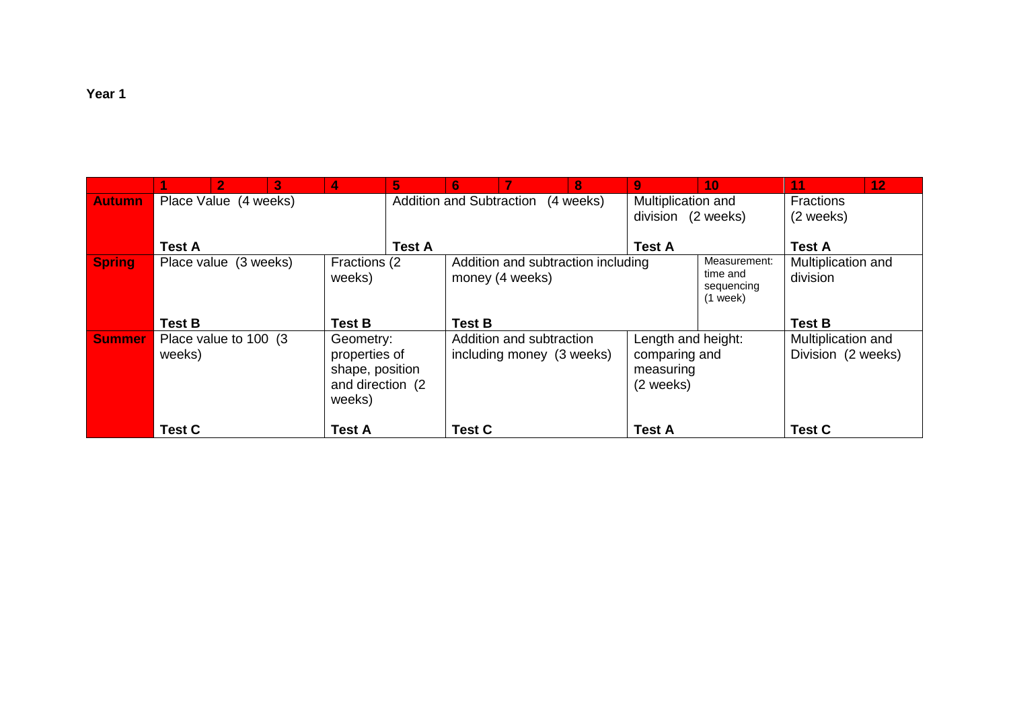|               |                                | V.                     | 3 | 4                                                                            | 5.                              | 6                                                     |  | 8             | $\overline{9}$                                                | 10            | 11                                                                                     | 12 <sub>1</sub> |
|---------------|--------------------------------|------------------------|---|------------------------------------------------------------------------------|---------------------------------|-------------------------------------------------------|--|---------------|---------------------------------------------------------------|---------------|----------------------------------------------------------------------------------------|-----------------|
| <b>Autumn</b> |                                | Place Value (4 weeks)  |   |                                                                              | <b>Addition and Subtraction</b> |                                                       |  | (4 weeks)     | Multiplication and<br>division (2 weeks)                      |               | Fractions<br>(2 weeks)                                                                 |                 |
|               | <b>Test A</b>                  |                        |   |                                                                              | <b>Test A</b><br><b>Test A</b>  |                                                       |  |               |                                                               |               | <b>Test A</b>                                                                          |                 |
| <b>Spring</b> |                                | Place value (3 weeks)  |   | Fractions (2)<br>weeks)                                                      |                                 | Addition and subtraction including<br>money (4 weeks) |  |               |                                                               |               | Measurement:<br>Multiplication and<br>time and<br>division<br>sequencing<br>$(1$ week) |                 |
|               | <b>Test B</b>                  |                        |   | <b>Test B</b>                                                                | <b>Test B</b>                   |                                                       |  |               |                                                               |               | <b>Test B</b>                                                                          |                 |
| <b>Summer</b> | weeks)                         | Place value to 100 (3) |   | Geometry:<br>properties of<br>shape, position<br>and direction (2)<br>weeks) |                                 | Addition and subtraction<br>including money (3 weeks) |  |               | Length and height:<br>comparing and<br>measuring<br>(2 weeks) |               | Multiplication and<br>Division (2 weeks)                                               |                 |
|               | <b>Test C</b><br><b>Test A</b> |                        |   |                                                                              | <b>Test C</b>                   |                                                       |  | <b>Test A</b> |                                                               | <b>Test C</b> |                                                                                        |                 |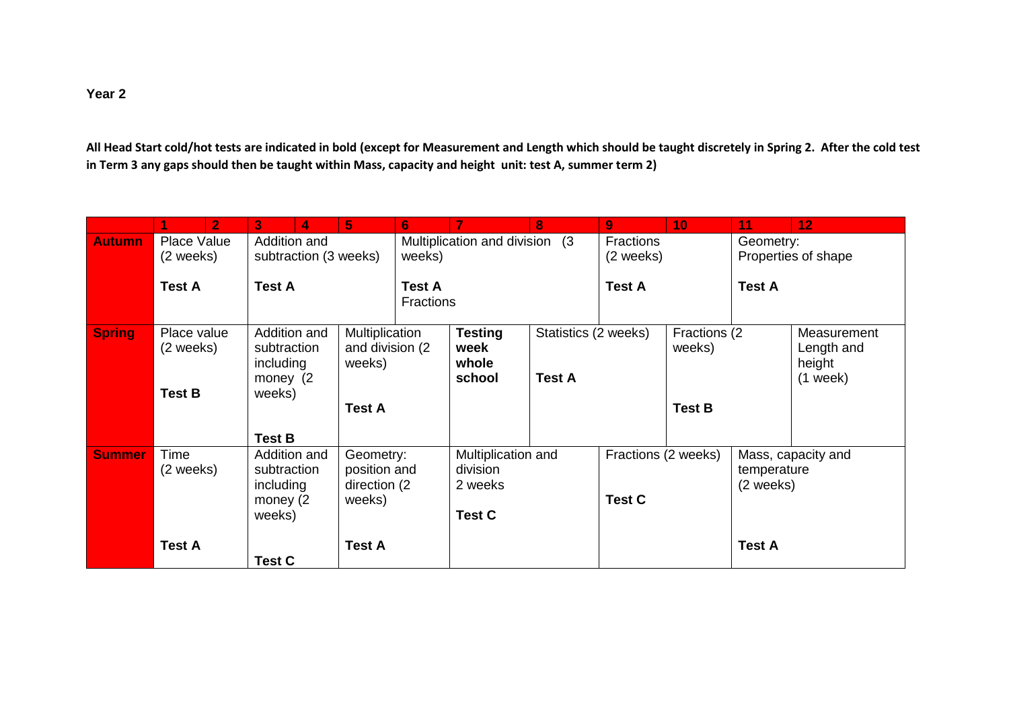## **Year 2**

**All Head Start cold/hot tests are indicated in bold (except for Measurement and Length which should be taught discretely in Spring 2. After the cold test in Term 3 any gaps should then be taught within Mass, capacity and height unit: test A, summer term 2)**

|               | $\overline{2}$                  | 3                                              | 4                                                  | 5 <sub>5</sub>                                       | 6                     |                                                                                    | 8                                         | $\overline{9}$                       | 10 <sub>1</sub> | 11                                             | 12                                                |                                  |  |
|---------------|---------------------------------|------------------------------------------------|----------------------------------------------------|------------------------------------------------------|-----------------------|------------------------------------------------------------------------------------|-------------------------------------------|--------------------------------------|-----------------|------------------------------------------------|---------------------------------------------------|----------------------------------|--|
| <b>Autumn</b> | <b>Place Value</b><br>(2 weeks) |                                                | Addition and                                       |                                                      | subtraction (3 weeks) |                                                                                    | Multiplication and division (3)<br>weeks) |                                      |                 | Fractions<br>(2 weeks)                         |                                                   | Geometry:<br>Properties of shape |  |
|               | <b>Test A</b>                   |                                                | <b>Test A</b><br><b>Test A</b><br><b>Fractions</b> |                                                      |                       |                                                                                    |                                           | <b>Test A</b>                        |                 | <b>Test A</b>                                  |                                                   |                                  |  |
| <b>Spring</b> | Place value<br>(2 weeks)        | subtraction<br>including<br>money (2)          | Addition and                                       | Multiplication<br>and division (2)<br>weeks)         |                       | Statistics (2 weeks)<br><b>Testing</b><br>week<br>whole<br>school<br><b>Test A</b> |                                           | Fractions (2)<br>weeks)              |                 |                                                | Measurement<br>Length and<br>height<br>$(1$ week) |                                  |  |
|               | <b>Test B</b>                   | weeks)<br><b>Test B</b>                        |                                                    | <b>Test A</b>                                        |                       |                                                                                    |                                           |                                      | <b>Test B</b>   |                                                |                                                   |                                  |  |
| <b>Summer</b> | Time<br>(2 weeks)               | subtraction<br>including<br>money (2<br>weeks) | Addition and                                       | Geometry:<br>position and<br>direction (2)<br>weeks) |                       | Multiplication and<br>division<br>2 weeks<br><b>Test C</b>                         |                                           | Fractions (2 weeks)<br><b>Test C</b> |                 | Mass, capacity and<br>temperature<br>(2 weeks) |                                                   |                                  |  |
|               | <b>Test A</b>                   | <b>Test C</b>                                  |                                                    | <b>Test A</b>                                        |                       |                                                                                    |                                           |                                      |                 | <b>Test A</b>                                  |                                                   |                                  |  |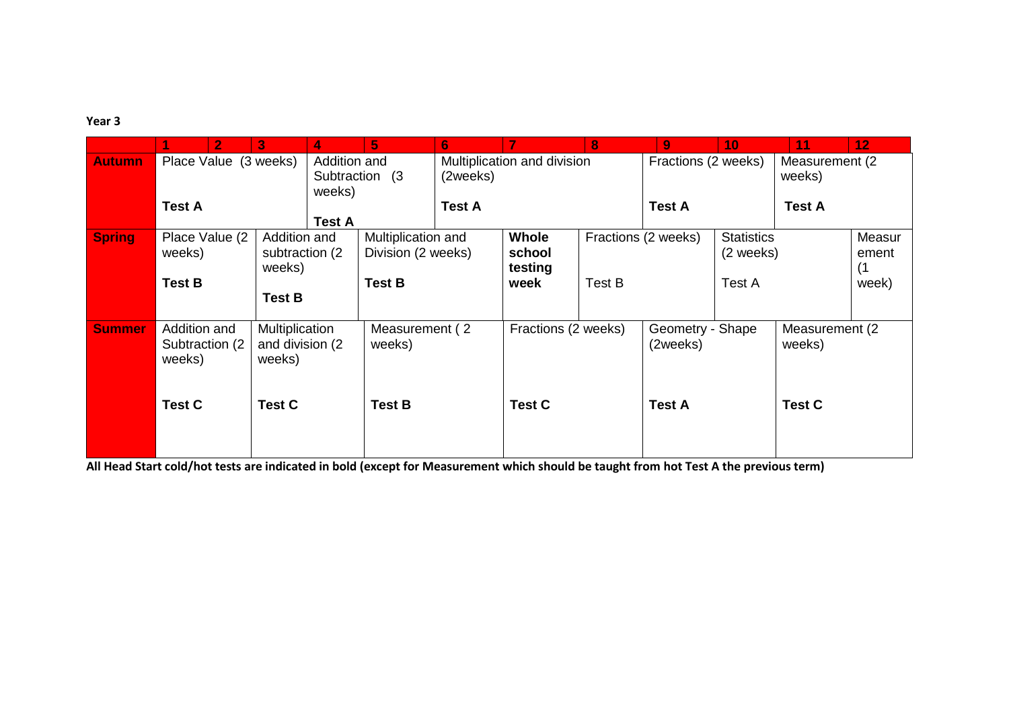## **Year 3**

|               | $\mathbf{2}^-$                            | 3 <sup>1</sup>                               | 4.                                        | 5                                        | $6\phantom{1}$             |                             | 8                   | 9                            | 10                             | 11                        | 12                     |
|---------------|-------------------------------------------|----------------------------------------------|-------------------------------------------|------------------------------------------|----------------------------|-----------------------------|---------------------|------------------------------|--------------------------------|---------------------------|------------------------|
| <b>Autumn</b> | Place Value (3 weeks)                     |                                              | Addition and<br>Subtraction (3)<br>weeks) |                                          | (2weeks)                   | Multiplication and division |                     | Fractions (2 weeks)          |                                | Measurement (2)<br>weeks) |                        |
|               | <b>Test A</b>                             | <b>Test A</b>                                |                                           | <b>Test A</b>                            |                            |                             | <b>Test A</b>       |                              | <b>Test A</b>                  |                           |                        |
| <b>Spring</b> | Place Value (2<br>weeks)                  | Addition and<br>subtraction (2)<br>weeks)    |                                           | Multiplication and<br>Division (2 weeks) | Whole<br>school<br>testing |                             | Fractions (2 weeks) |                              | <b>Statistics</b><br>(2 weeks) |                           | Measur<br>ement<br>(1) |
|               | <b>Test B</b>                             | <b>Test B</b>                                |                                           | <b>Test B</b>                            |                            | week                        | Test B              |                              | Test A                         |                           | week)                  |
| <b>Summer</b> | Addition and<br>Subtraction (2)<br>weeks) | Multiplication<br>and division (2)<br>weeks) |                                           | Measurement (2)<br>weeks)                |                            | Fractions (2 weeks)         |                     | Geometry - Shape<br>(2weeks) |                                | Measurement (2)<br>weeks) |                        |
|               | <b>Test C</b>                             | <b>Test C</b>                                |                                           | <b>Test B</b>                            |                            | <b>Test C</b>               |                     | <b>Test A</b>                |                                | <b>Test C</b>             |                        |

**All Head Start cold/hot tests are indicated in bold (except for Measurement which should be taught from hot Test A the previous term)**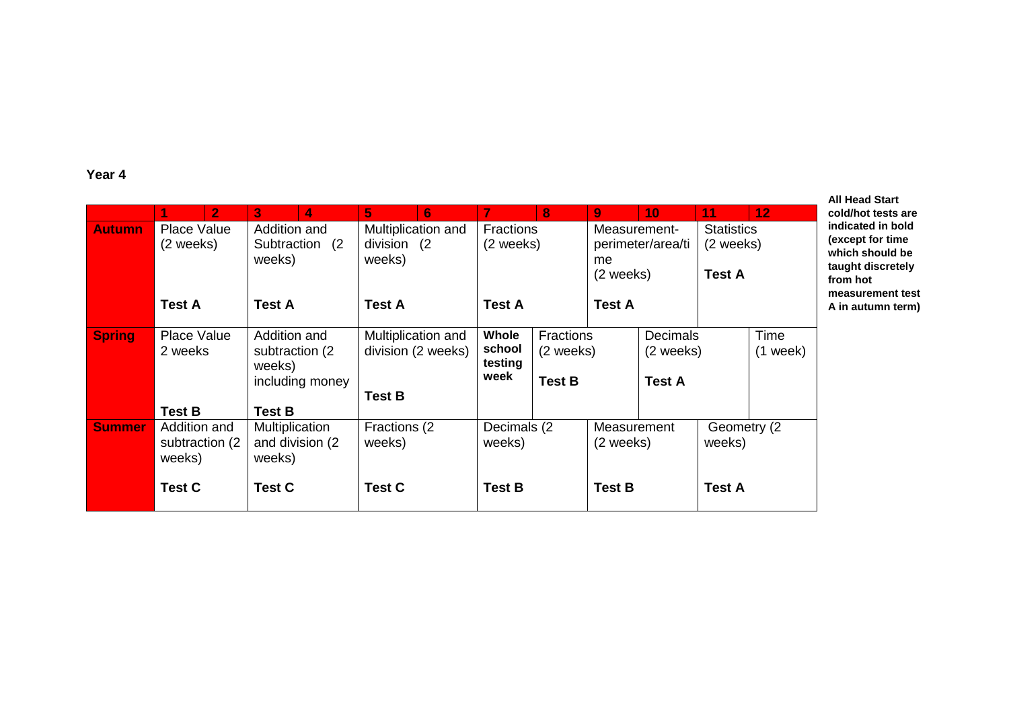## **Year 4**

|               | 2                                         | 3<br>4                                                       | 5<br>6.                                      |                                                                                                                                       | 8             | 9                               | 10                | 11                                              | 12 <sub>1</sub> |  |                    |
|---------------|-------------------------------------------|--------------------------------------------------------------|----------------------------------------------|---------------------------------------------------------------------------------------------------------------------------------------|---------------|---------------------------------|-------------------|-------------------------------------------------|-----------------|--|--------------------|
| <b>Autumn</b> | Place Value<br>(2 weeks)                  | Addition and<br>Subtraction (2)<br>weeks)                    | Multiplication and<br>division (2)<br>weeks) | <b>Fractions</b><br>(2 weeks)                                                                                                         |               | Measurement-<br>me<br>(2 weeks) | perimeter/area/ti | <b>Statistics</b><br>(2 weeks)<br><b>Test A</b> |                 |  |                    |
|               | <b>Test A</b>                             | <b>Test A</b>                                                | <b>Test A</b>                                | <b>Test A</b>                                                                                                                         | <b>Test A</b> |                                 |                   |                                                 |                 |  |                    |
| <b>Spring</b> | Place Value<br>2 weeks                    | Addition and<br>subtraction (2)<br>weeks)<br>including money | Multiplication and<br>division (2 weeks)     | Whole<br><b>Fractions</b><br><b>Decimals</b><br>school<br>(2 weeks)<br>(2 weeks)<br>testing<br>week<br><b>Test B</b><br><b>Test A</b> |               |                                 |                   |                                                 |                 |  | Time<br>$(1$ week) |
|               | <b>Test B</b>                             | <b>Test B</b>                                                | <b>Test B</b>                                |                                                                                                                                       |               |                                 |                   |                                                 |                 |  |                    |
| <b>Summer</b> | Addition and<br>subtraction (2)<br>weeks) | Multiplication<br>and division (2)<br>weeks)                 | Fractions (2)<br>weeks)                      | Decimals (2<br>weeks)<br><b>Test B</b>                                                                                                |               | Measurement<br>(2 weeks)        |                   | Geometry (2)<br>weeks)                          |                 |  |                    |
|               | <b>Test C</b>                             | <b>Test C</b>                                                | <b>Test C</b>                                |                                                                                                                                       |               | <b>Test B</b>                   |                   | <b>Test A</b>                                   |                 |  |                    |

**All Head Start cold/hot tests are**  ated in bold **(except for time**  .<br>n should be **t** discretely **hot measurement test A in autumn term)**